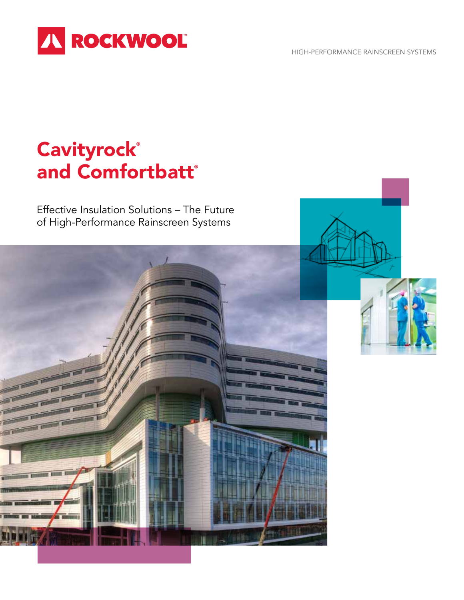HIGH-PERFORMANCE RAINSCREEN SYSTEMS



# **Cavityrock®** and Comfortbatt®

Effective Insulation Solutions – The Future of High-Performance Rainscreen Systems

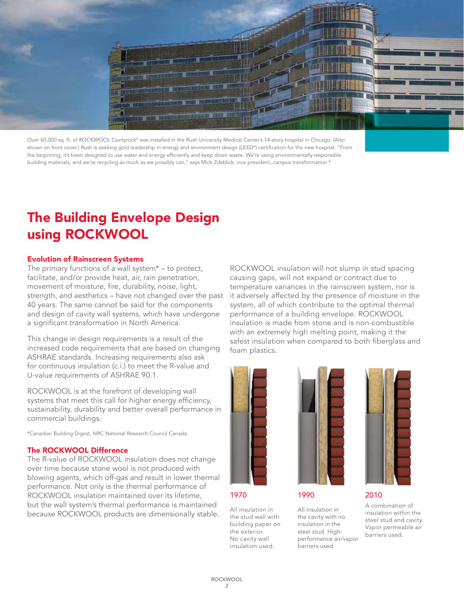

Over 60,000 sq. ft. of ROCKWOOL Cavityrock® was installed in the Rush University Medical Center's 14-story hospital in Chicago. (Also shown on front cover.) Rush is seeking gold leadership in energy and environment design (LEED®) certification for the new hospital. "From the beginning, it's been designed to use water and energy efficiently and keep down waste. We're using environmentally responsible building materials, and we're recycling as much as we possibly can," says Mick Zdeblick, vice president, campus transformation.\*

## The Building Envelope Design using ROCKWOOL

#### Evolution of Rainscreen Systems

The primary functions of a wall system\* – to protect, facilitate, and/or provide heat, air, rain penetration, movement of moisture, fire, durability, noise, light, strength, and aesthetics – have not changed over the past 40 years. The same cannot be said for the components and design of cavity wall systems, which have undergone a significant transformation in North America.

This change in design requirements is a result of the increased code requirements that are based on changing ASHRAE standards. Increasing requirements also ask for continuous insulation (c.i.) to meet the R-value and U-value requirements of ASHRAE 90.1.

ROCKWOOL is at the forefront of developing wall systems that meet this call for higher energy efficiency, sustainability, durability and better overall performance in commercial buildings.

\*Canadian Building Digest, NRC National Research Council Canada

#### The ROCKWOOL Difference

The R-value of ROCKWOOL insulation does not change over time because stone wool is not produced with blowing agents, which off-gas and result in lower thermal performance. Not only is the thermal performance of ROCKWOOL insulation maintained over its lifetime, but the wall system's thermal performance is maintained because ROCKWOOL products are dimensionally stable.





1970

All insulation in the stud wall with building paper on the exterior. No cavity wall insulation used.



1990

All insulation in the cavity with no insulation in the steel stud. Highperformance air/vapor barriers used.



### 2010

A combination of insulation within the steel stud and cavity. Vapor permeable air barriers used.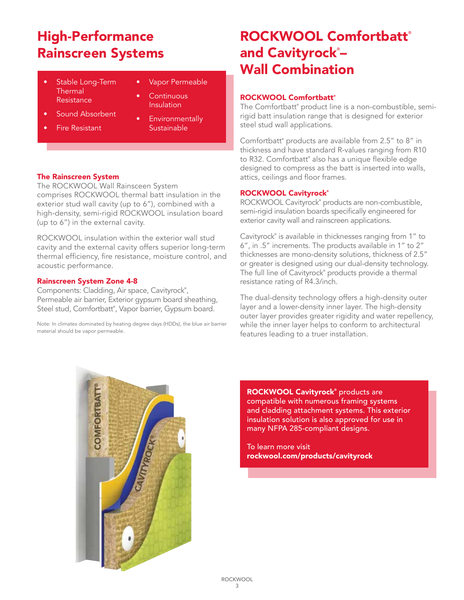## High-Performance Rainscreen Systems

- Thermal Continues of Continuous Resistance **Continuous** Stable Long-Term
- **Vapor Permeable**

**Continuous** Insulation

- 
- allows for an insulation<br>• Sound Absorbent
- Fire Resistant
- bound Absorbent **•** Environmentally Sustainable

### The Rainscreen System

The ROCKWOOL Wall Rainsceen System comprises ROCKWOOL thermal batt insulation in the exterior stud wall cavity (up to 6"), combined with a high-density, semi-rigid ROCKWOOL insulation board (up to 6") in the external cavity.

ROCKWOOL insulation within the exterior wall stud cavity and the external cavity offers superior long-term thermal efficiency, fire resistance, moisture control, and acoustic performance.

### Rainscreen System Zone 4-8

Components: Cladding, Air space, Cavityrock® , Permeable air barrier, Exterior gypsum board sheathing, Steel stud, Comfortbatt® , Vapor barrier, Gypsum board.

Note: In climates dominated by heating degree days (HDDs), the blue air barrier material should be vapor permeable.

### ROCKWOOL Comfortbatt® and Cavityrock®– Wall Combination

### ROCKWOOL Comfortbatt®

The Comfortbatt® product line is a non-combustible, semirigid batt insulation range that is designed for exterior steel stud wall applications.

Comfortbatt® products are available from 2.5" to 8" in thickness and have standard R-values ranging from R10 to R32. Comfortbatt® also has a unique flexible edge designed to compress as the batt is inserted into walls, attics, ceilings and floor frames.

### ROCKWOOL Cavityrock®

ROCKWOOL Cavityrock® products are non-combustible, semi-rigid insulation boards specifically engineered for exterior cavity wall and rainscreen applications.

Cavityrock® is available in thicknesses ranging from 1" to 6", in .5" increments. The products available in 1" to 2" thicknesses are mono-density solutions, thickness of 2.5" or greater is designed using our dual-density technology. The full line of Cavityrock® products provide a thermal resistance rating of R4.3/inch.

The dual-density technology offers a high-density outer layer and a lower-density inner layer. The high-density outer layer provides greater rigidity and water repellency, while the inner layer helps to conform to architectural features leading to a truer installation.



ROCKWOOL Cavityrock<sup>®</sup> products are compatible with numerous framing systems and cladding attachment systems. This exterior insulation solution is also approved for use in many NFPA 285-compliant designs.

To learn more visit rockwool.com/products/cavityrock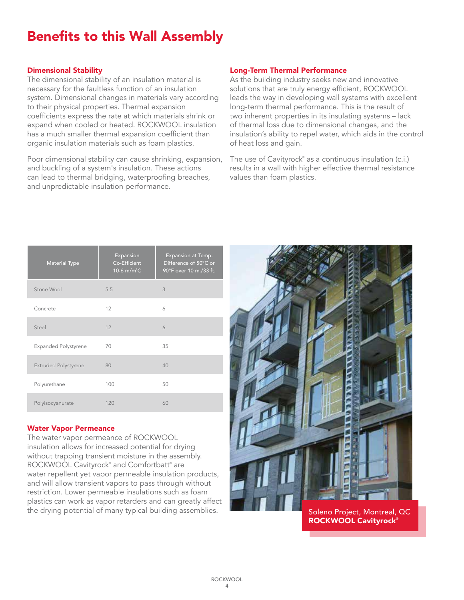## Benefits to this Wall Assembly

### Dimensional Stability

The dimensional stability of an insulation material is necessary for the faultless function of an insulation system. Dimensional changes in materials vary according to their physical properties. Thermal expansion coefficients express the rate at which materials shrink or expand when cooled or heated. ROCKWOOL insulation has a much smaller thermal expansion coefficient than organic insulation materials such as foam plastics.

Poor dimensional stability can cause shrinking, expansion, and buckling of a system's insulation. These actions can lead to thermal bridging, waterproofing breaches, and unpredictable insulation performance.

### Long-Term Thermal Performance

As the building industry seeks new and innovative solutions that are truly energy efficient, ROCKWOOL leads the way in developing wall systems with excellent long-term thermal performance. This is the result of two inherent properties in its insulating systems – lack of thermal loss due to dimensional changes, and the insulation's ability to repel water, which aids in the control of heat loss and gain.

The use of Cavityrock® as a continuous insulation (c.i.) results in a wall with higher effective thermal resistance values than foam plastics.

| <b>Material Type</b>        | Expansion<br>Co-Efficient<br>10-6 m/m <sup>°</sup> C | Expansion at Temp.<br>Difference of 50°C or<br>90°F over 10 m./33 ft. |
|-----------------------------|------------------------------------------------------|-----------------------------------------------------------------------|
| Stone Wool                  | 5.5                                                  | 3                                                                     |
| Concrete                    | 12                                                   | 6                                                                     |
| Steel                       | 12                                                   | 6                                                                     |
| <b>Expanded Polystyrene</b> | 70                                                   | 35                                                                    |
| <b>Extruded Polystyrene</b> | 80                                                   | 40                                                                    |
| Polyurethane                | 100                                                  | 50                                                                    |
| Polyisocyanurate            | 120                                                  | 60                                                                    |

### Water Vapor Permeance

The water vapor permeance of ROCKWOOL insulation allows for increased potential for drying without trapping transient moisture in the assembly. ROCKWOOL Cavityrock® and Comfortbatt® are water repellent yet vapor permeable insulation products, and will allow transient vapors to pass through without restriction. Lower permeable insulations such as foam plastics can work as vapor retarders and can greatly affect the drying potential of many typical building assemblies.



Soleno Project, Montreal, QC ROCKWOOL Cavityrock®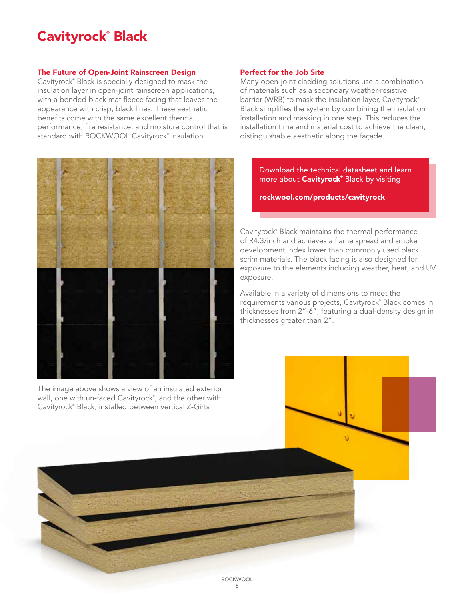## Cavityrock® Black

### The Future of Open-Joint Rainscreen Design

Cavityrock® Black is specially designed to mask the insulation layer in open-joint rainscreen applications, with a bonded black mat fleece facing that leaves the appearance with crisp, black lines. These aesthetic benefits come with the same excellent thermal performance, fire resistance, and moisture control that is standard with ROCKWOOL Cavityrock<sup>®</sup> insulation.



The image above shows a view of an insulated exterior wall, one with un-faced Cavityrock® , and the other with Cavityrock® Black, installed between vertical Z-Girts

### Perfect for the Job Site

Many open-joint cladding solutions use a combination of materials such as a secondary weather-resistive barrier (WRB) to mask the insulation layer, Cavityrock® Black simplifies the system by combining the insulation installation and masking in one step. This reduces the installation time and material cost to achieve the clean, distinguishable aesthetic along the façade.

> Download the technical datasheet and learn more about **Cavityrock**® Black by visiting

rockwool.com/products/cavityrock

Cavityrock® Black maintains the thermal performance of R4.3/inch and achieves a flame spread and smoke development index lower than commonly used black scrim materials. The black facing is also designed for exposure to the elements including weather, heat, and UV exposure.

Available in a variety of dimensions to meet the requirements various projects, Cavityrock® Black comes in thicknesses from 2"-6", featuring a dual-density design in thicknesses greater than 2".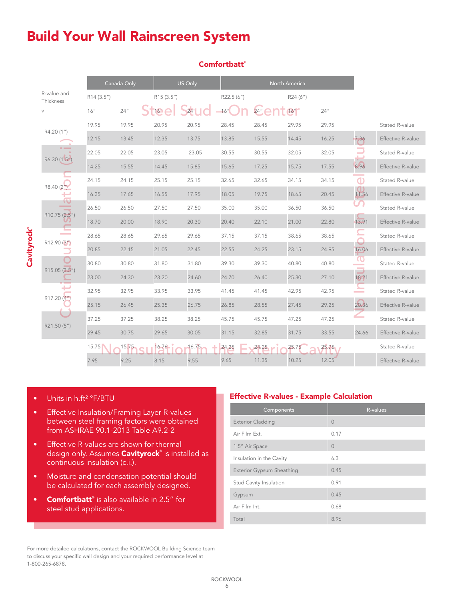### Build Your Wall Rainscreen System

|                          |            | Canada Only |            | US Only |            |       | North America |       |                                                                                                                                                                                                                                 |                          |
|--------------------------|------------|-------------|------------|---------|------------|-------|---------------|-------|---------------------------------------------------------------------------------------------------------------------------------------------------------------------------------------------------------------------------------|--------------------------|
| R-value and<br>Thickness | R14 (3.5") |             | R15 (3.5") |         | R22.5 (6") |       | R24 (6")      |       |                                                                                                                                                                                                                                 |                          |
| $\vee$                   | 16''       | 24''        | 16''       |         | $-16"$     | 24''  | 16"           | 24''  |                                                                                                                                                                                                                                 |                          |
| R4.20 (1")               | 19.95      | 19.95       | 20.95      | 20.95   | 28.45      | 28.45 | 29.95         | 29.95 |                                                                                                                                                                                                                                 | Stated R-value           |
|                          | 12.15      | 13.45       | 12.35      | 13.75   | 13.85      | 15.55 | 14.45         | 16.25 | 7.36                                                                                                                                                                                                                            | <b>Effective R-value</b> |
| R6.30 (1.5")             | 22.05      | 22.05       | 23.05      | 23.05   | 30.55      | 30.55 | 32.05         | 32.05 | e de la propieta de la propieta de la propieta de la propieta de la propieta de la propieta de la propieta de<br>La propieta de la propieta de la propieta de la propieta de la propieta de la propieta de la propieta de la pr | Stated R-value           |
|                          | 14.25      | 15.55       | 14.45      | 15.85   | 15.65      | 17.25 | 15.75         | 17.55 | 8.96                                                                                                                                                                                                                            | Effective R-value        |
| R8.40 (2")               | 24.15      | 24.15       | 25.15      | 25.15   | 32.65      | 32.65 | 34.15         | 34.15 | $\mathbf{d}$                                                                                                                                                                                                                    | Stated R-value           |
|                          | 16.35      | 17.65       | 16.55      | 17.95   | 18.05      | 19.75 | 18.65         | 20.45 | 11.56                                                                                                                                                                                                                           | Effective R-value        |
| w                        | 26.50      | 26.50       | 27.50      | 27.50   | 35.00      | 35.00 | 36.50         | 36.50 |                                                                                                                                                                                                                                 | Stated R-value           |
| R10.75 (2.5")            | 18.70      | 20.00       | 18.90      | 20.30   | 20.40      | 22.10 | 21.00         | 22.80 | 13.91                                                                                                                                                                                                                           | Effective R-value        |
| <b>Contract</b>          | 28.65      | 28.65       | 29.65      | 29.65   | 37.15      | 37.15 | 38.65         | 38.65 | ┶                                                                                                                                                                                                                               | Stated R-value           |
| R12.90 (3")              | 20.85      | 22.15       | 21.05      | 22.45   | 22.55      | 24.25 | 23.15         | 24.95 | 16.06                                                                                                                                                                                                                           | Effective R-value        |
| R15.05 (3.5")            | 30.80      | 30.80       | 31.80      | 31.80   | 39.30      | 39.30 | 40.80         | 40.80 | O<br><b>Contract Contract</b>                                                                                                                                                                                                   | Stated R-value           |
|                          | 23.00      | 24.30       | 23.20      | 24.60   | 24.70      | 26.40 | 25.30         | 27.10 | ┙<br>18.21                                                                                                                                                                                                                      | Effective R-value        |
|                          | 32.95      | 32.95       | 33.95      | 33.95   | 41.45      | 41.45 | 42.95         | 42.95 | ∽<br><b>Service</b>                                                                                                                                                                                                             | Stated R-value           |
| R <sub>17.20</sub> (4")  | 25.15      | 26.45       | 25.35      | 26.75   | 26.85      | 28.55 | 27.45         | 29.25 | 20.36                                                                                                                                                                                                                           | Effective R-value        |
|                          | 37.25      | 37.25       | 38.25      | 38.25   | 45.75      | 45.75 | 47.25         | 47.25 |                                                                                                                                                                                                                                 | Stated R-value           |
| R21.50 (5")              | 29.45      | 30.75       | 29.65      | 30.05   | 31.15      | 32.85 | 31.75         | 33.55 | 24.66                                                                                                                                                                                                                           | Effective R-value        |
|                          | 15.75      | 15.75       | $16.76 -$  | 16.75   | 24.25      | 24.25 | 25.75         | 25.75 |                                                                                                                                                                                                                                 | Stated R-value           |
|                          | 7.95       | 9.25        | 8.15       | 9.55    | 9.65       | 11.35 | 10.25         | 12.05 |                                                                                                                                                                                                                                 | Effective R-value        |

### Comfortbatt<sup>®</sup>

Cavityrock®

**Cavityrock®** 

- Effective Insulation/Framing Layer R-values between steel framing factors were obtained from ASHRAE 90.1-2013 Table A9.2-2
- Effective R-values are shown for thermal design only. Assumes **Cavityrock**® is installed as continuous insulation (c.i.).
- Moisture and condensation potential should be calculated for each assembly designed.
- **Comfortbatt**® is also available in 2.5" for steel stud applications.

#### For more detailed calculations, contact the ROCKWOOL Building Science team to discuss your specific wall design and your required performance level at 1-800-265-6878.

### • Units in h.ft<sup>2</sup> °F/BTU **Effective R-values - Example Calculation**

| Components                       | R-values  |
|----------------------------------|-----------|
| <b>Exterior Cladding</b>         | $\cap$    |
| Air Film Ext.                    | 0.17      |
| 1.5" Air Space                   | $\bigcap$ |
| Insulation in the Cavity         | 6.3       |
| <b>Exterior Gypsum Sheathing</b> | 0.45      |
| Stud Cavity Insulation           | 0.91      |
| Gypsum                           | 0.45      |
| Air Film Int.                    | 0.68      |
| Total                            | 8.96      |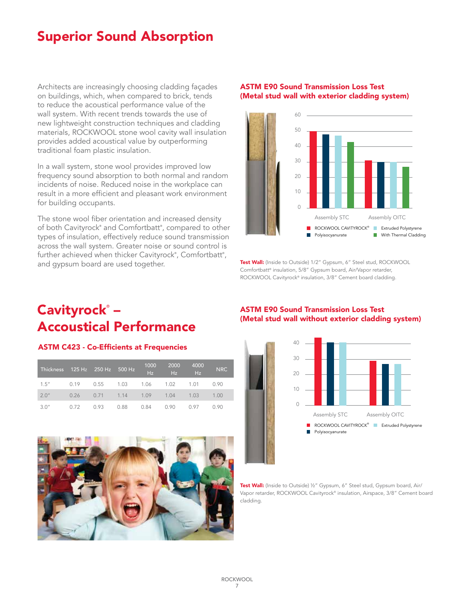### Superior Sound Absorption

Architects are increasingly choosing cladding façades on buildings, which, when compared to brick, tends to reduce the acoustical performance value of the wall system. With recent trends towards the use of new lightweight construction techniques and cladding materials, ROCKWOOL stone wool cavity wall insulation provides added acoustical value by outperforming traditional foam plastic insulation.

In a wall system, stone wool provides improved low frequency sound absorption to both normal and random incidents of noise. Reduced noise in the workplace can result in a more efficient and pleasant work environment for building occupants.

The stone wool fiber orientation and increased density of both Cavityrock® and Comfortbatt® , compared to other types of insulation, effectively reduce sound transmission across the wall system. Greater noise or sound control is further achieved when thicker Cavityrock®, Comfortbatt®, and gypsum board are used together.

### ASTM E90 Sound Transmission Loss Test (Metal stud wall with exterior cladding system)



**Test Wall:** (Inside to Outside) 1/2" Gypsum, 6" Steel stud, ROCKWOOL Comfortbatt® insulation, 5/8" Gypsum board, Air/Vapor retarder, ROCKWOOL Cavityrock® insulation, 3/8" Cement board cladding.

### Cavityrock® – Accoustical Performance

### ASTM C423 - Co-Efficients at Frequencies

| <b>Thickness</b> |      | 125 Hz 250 Hz 500 Hz               |      | 1000<br>Hz | 2000<br>Hz | 4000<br>TE. | <b>NRC</b> |
|------------------|------|------------------------------------|------|------------|------------|-------------|------------|
| 1.5''            |      | 0.19  0.55  1.03  1.06  1.02  1.01 |      |            |            |             | 0.90       |
| 2.0''            |      | 0.26 0.71 1.14 1.09 1.04 1.03      |      |            |            |             | 1.00       |
| 3.0''            | 0.72 | 0.93                               | 0.88 | 0.84       | 0.90       | 0.97        | 0.90       |



### 50 ASTM E90 Sound Transmission Loss Test 40 (Metal stud wall without exterior cladding system)



Test Wall: (Inside to Outside) 1/2" Gypsum, 6" Steel stud, Gypsum board, Air/ Vapor retarder, ROCKWOOL Cavityrock® insulation, Airspace, 3/8" Cement board cladding.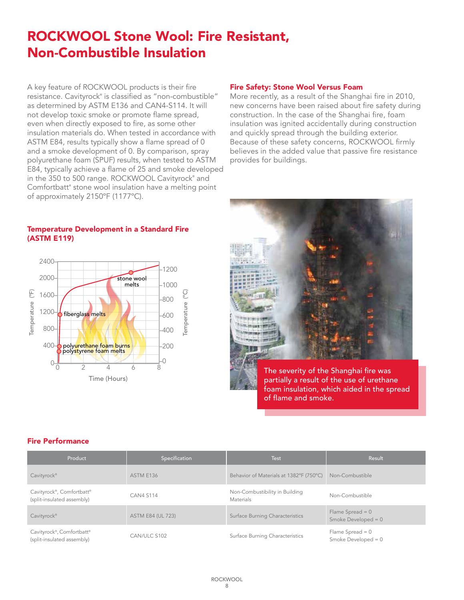### ROCKWOOL Stone Wool: Fire Resistant, Non-Combustible Insulation

A key feature of ROCKWOOL products is their fire resistance. Cavityrock® is classified as "non-combustible" as determined by ASTM E136 and CAN4-S114. It will not develop toxic smoke or promote flame spread, even when directly exposed to fire, as some other insulation materials do. When tested in accordance with ASTM E84, results typically show a flame spread of 0 and a smoke development of 0. By comparison, spray polyurethane foam (SPUF) results, when tested to ASTM E84, typically achieve a flame of 25 and smoke developed in the 350 to 500 range. ROCKWOOL Cavityrock® and Comfortbatt® stone wool insulation have a melting point of approximately 2150ºF (1177ºC).

### Fire Safety: Stone Wool Versus Foam

More recently, as a result of the Shanghai fire in 2010, new concerns have been raised about fire safety during construction. In the case of the Shanghai fire, foam insulation was ignited accidentally during construction and quickly spread through the building exterior. Because of these safety concerns, ROCKWOOL firmly believes in the added value that passive fire resistance provides for buildings.

### Temperature Development in a Standard Fire (ASTM E119)





The severity of the Shanghai fire was partially a result of the use of urethane foam insulation, which aided in the spread of flame and smoke.

### Fire Performance

| Product                                                 | Specification            | <b>Test</b>                                        | Result                                      |
|---------------------------------------------------------|--------------------------|----------------------------------------------------|---------------------------------------------|
| Cavityrock <sup>®</sup>                                 | ASTM E136                | Behavior of Materials at 1382°F (750°C)            | Non-Combustible                             |
| Cavityrock®, Comfortbatt®<br>(split-insulated assembly) | <b>CAN4 S114</b>         | Non-Combustibility in Building<br><b>Materials</b> | Non-Combustible                             |
| Cavityrock <sup>®</sup>                                 | <b>ASTM E84 (UL 723)</b> | Surface Burning Characteristics                    | Flame Spread $= 0$<br>Smoke Developed = $0$ |
| Cavityrock®, Comfortbatt®<br>(split-insulated assembly) | CAN/ULC S102             | Surface Burning Characteristics                    | Flame Spread $= 0$<br>Smoke Developed = $0$ |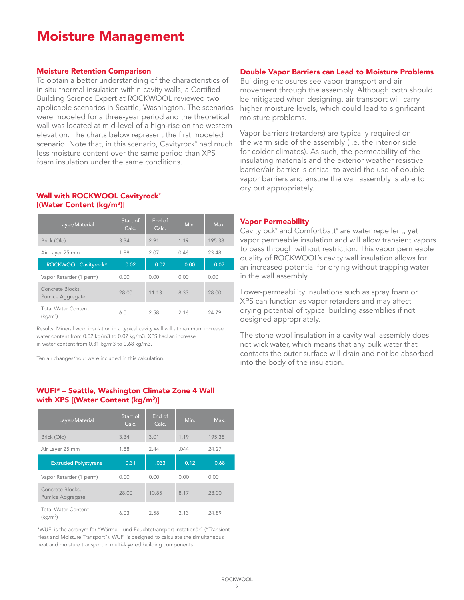### Moisture Management

#### Moisture Retention Comparison

To obtain a better understanding of the characteristics of in situ thermal insulation within cavity walls, a Certified Building Science Expert at ROCKWOOL reviewed two applicable scenarios in Seattle, Washington. The scenarios were modeled for a three-year period and the theoretical wall was located at mid-level of a high-rise on the western elevation. The charts below represent the first modeled scenario. Note that, in this scenario, Cavityrock® had much less moisture content over the same period than XPS foam insulation under the same conditions.

### Wall with ROCKWOOL Cavityrock® [(Water Content (kg/m3)]

| Layer/Material                                     | Start of<br>Calc. | End of<br>Calc. | Min. | Max.   |
|----------------------------------------------------|-------------------|-----------------|------|--------|
| Brick (Old)                                        | 3.34              | 2.91            | 1.19 | 195.38 |
| Air Layer 25 mm                                    | 1.88              | 2.07            | 0.46 | 23.48  |
| ROCKWOOL Cavityrock <sup>®</sup>                   | 0.02              | 0.02            | 0.00 | 0.07   |
| Vapor Retarder (1 perm)                            | 0.00              | 0.00            | 0.00 | 0.00   |
| Concrete Blocks,<br><b>Pumice Aggregate</b>        | 28.00             | 11.13           | 8.33 | 28.00  |
| <b>Total Water Content</b><br>(kq/m <sup>2</sup> ) | 6.0               | 2.58            | 2.16 | 2479   |

Results: Mineral wool insulation in a typical cavity wall will at maximum increase water content from 0.02 kg/m3 to 0.07 kg/m3. XPS had an increase in water content from 0.31 kg/m3 to 0.68 kg/m3.

Ten air changes/hour were included in this calculation.

### WUFI\* – Seattle, Washington Climate Zone 4 Wall with XPS [(Water Content (kg/m<sup>3</sup>)]

| Layer/Material                                     | Start of<br>Calc. | End of<br>Calc. | Min. | Max.   |
|----------------------------------------------------|-------------------|-----------------|------|--------|
| Brick (Old)                                        | 3.34              | 3.01            | 1.19 | 195.38 |
| Air Layer 25 mm                                    | 1.88              | 2.44            | .044 | 24.27  |
| <b>Extruded Polystyrene</b>                        | 0.31              | .033            | 0.12 | 0.68   |
| Vapor Retarder (1 perm)                            | 0.00              | 0.00            | 0.00 | 0.00   |
| Concrete Blocks,<br>Pumice Aggregate               | 28.00             | 10.85           | 8.17 | 28.00  |
| <b>Total Water Content</b><br>(kq/m <sup>2</sup> ) | 6.03              | 2.58            | 2.13 | 24.89  |

\*WUFI is the acronym for "Wärme – und Feuchtetransport instationär" ("Transient Heat and Moisture Transport"). WUFI is designed to calculate the simultaneous heat and moisture transport in multi-layered building components.

#### Double Vapor Barriers can Lead to Moisture Problems

Building enclosures see vapor transport and air movement through the assembly. Although both should be mitigated when designing, air transport will carry higher moisture levels, which could lead to significant moisture problems.

Vapor barriers (retarders) are typically required on the warm side of the assembly (i.e. the interior side for colder climates). As such, the permeability of the insulating materials and the exterior weather resistive barrier/air barrier is critical to avoid the use of double vapor barriers and ensure the wall assembly is able to dry out appropriately.

#### Vapor Permeability

Cavityrock® and Comfortbatt® are water repellent, yet vapor permeable insulation and will allow transient vapors to pass through without restriction. This vapor permeable quality of ROCKWOOL's cavity wall insulation allows for an increased potential for drying without trapping water in the wall assembly.

Lower-permeability insulations such as spray foam or XPS can function as vapor retarders and may affect drying potential of typical building assemblies if not designed appropriately.

The stone wool insulation in a cavity wall assembly does not wick water, which means that any bulk water that contacts the outer surface will drain and not be absorbed into the body of the insulation.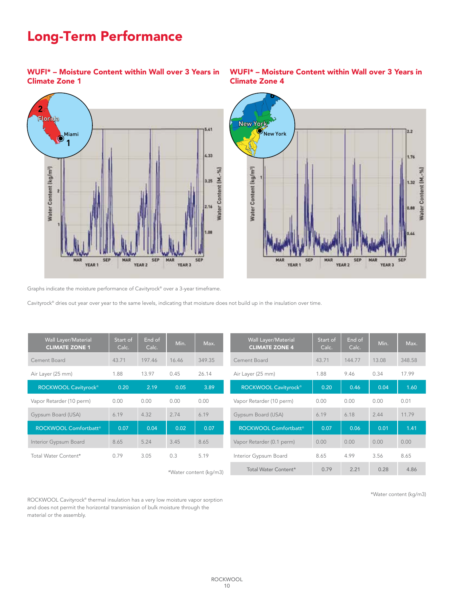#### **5 5** New York Long-Term Performance

WUFI\* – Moisture Content within Wall over 3 Years in Climate Zone 1





### WUFI\* – Moisture Content within Wall over 3 Years in Climate Zone 4

Graphs indicate the moisture performance of Cavityrock® over a 3-year timeframe.

Cavityrock® dries out year over year to the same levels, indicating that moisture does not build up in the insulation over time.

| Wall Layer/Material<br><b>CLIMATE ZONE 1</b> | Start of<br>Calc. | End of<br>Calc. | Min.  | Max.                          | Wall Layer/Material<br><b>CLIMATE ZONE 4</b> | Start of<br>Calc. | End of<br>Calc. | Min.  | Max.   |
|----------------------------------------------|-------------------|-----------------|-------|-------------------------------|----------------------------------------------|-------------------|-----------------|-------|--------|
| Cement Board                                 | 43.71             | 197.46          | 16.46 | 349.35                        | Cement Board                                 | 43.71             | 144.77          | 13.08 | 348.58 |
| Air Layer (25 mm)                            | 1.88              | 13.97           | 0.45  | 26.14                         | Air Layer (25 mm)                            | 1.88              | 9.46            | 0.34  | 17.99  |
| ROCKWOOL Cavityrock <sup>®</sup>             | 0.20              | 2.19            | 0.05  | 3.89                          | ROCKWOOL Cavityrock <sup>®</sup>             | 0.20              | 0.46            | 0.04  | 1.60   |
| Vapor Retarder (10 perm)                     | 0.00              | 0.00            | 0.00  | 0.00                          | Vapor Retarder (10 perm)                     | 0.00              | 0.00            | 0.00  | 0.01   |
| Gypsum Board (USA)                           | 6.19              | 4.32            | 2.74  | 6.19                          | Gypsum Board (USA)                           | 6.19              | 6.18            | 2.44  | 11.79  |
| ROCKWOOL Comfortbatt®                        | 0.07              | 0.04            | 0.02  | 0.07                          | ROCKWOOL Comfortbatt®                        | 0.07              | 0.06            | 0.01  | 1.41   |
| Interior Gypsum Board                        | 8.65              | 5.24            | 3.45  | 8.65                          | Vapor Retarder (0.1 perm)                    | 0.00              | 0.00            | 0.00  | 0.00   |
| Total Water Content*                         | 0.79              | 3.05            | 0.3   | 5.19                          | Interior Gypsum Board                        | 8.65              | 4.99            | 3.56  | 8.65   |
|                                              |                   |                 |       | $+1$ $+1$ $+1$ $+1$ $+1$ $-1$ | Total Water Content*                         | 0.79              | 2.21            | 0.28  |        |

\*Water content (kg/m3)

\*Water content (kg/m3)

ROCKWOOL Cavityrock® thermal insulation has a very low moisture vapor sorption and does not permit the horizontal transmission of bulk moisture through the material or the assembly.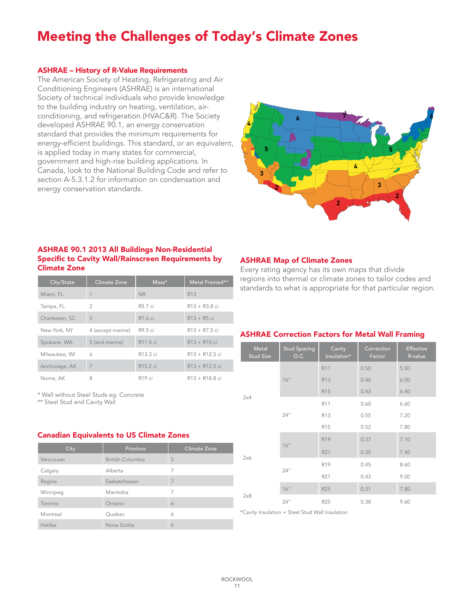### Meeting the Challenges of Today's Climate Zones

#### ASHRAE – History of R-Value Requirements

The American Society of Heating, Refrigerating and Air Conditioning Engineers (ASHRAE) is an international Society of technical individuals who provide knowledge to the building industry on heating, ventilation, airconditioning, and refrigeration (HVAC&R). The Society developed ASHRAE 90.1, an energy conservation standard that provides the minimum requirements for energy-efficient buildings. This standard, or an equivalent, is applied today in many states for commercial, government and high-rise building applications. In Canada, look to the National Building Code and refer to section A-5.3.1.2 for information on condensation and energy conservation standards.



### ASHRAE 90.1 2013 All Buildings Non-Residential Specific to Cavity Wall/Rainscreen Requirements by Climate Zone

| City/State     | <b>Climate Zone</b> | $Mass*$              | Metal Framed**                          |
|----------------|---------------------|----------------------|-----------------------------------------|
| Miami, FL      |                     | <b>NR</b>            | R <sub>13</sub>                         |
| Tampa, FL      | $\overline{2}$      | R5.7 ci              | $R13 + R3.8$ ci                         |
| Charleston, SC | 3                   | R7.6 ci              | $R13 + R5$ ci                           |
| New York, NY   | 4 (except marine)   | R9.5 ci              | $R13 + R7.5$ ci                         |
| Spokane, WA    | 5 (and marine)      | R11.4 ci             | $R13 + R10$ ci                          |
| Milwaukee, WI  | 6                   | R13.3 ci             | $R13 + R12.5$ ci                        |
| Anchorage, AK  | 7                   | R <sub>15.2</sub> ci | $R13 + R12.5$ ci                        |
| Nome, AK       | 8                   | R <sub>19</sub> ci   | R <sub>13</sub> + R <sub>18</sub> .8 ci |

\* Wall without Steel Studs eg. Concrete

\*\* Steel Stud and Cavity Wall

#### Canadian Equivalents to US Climate Zones

| City      | Province                | Climate Zone |
|-----------|-------------------------|--------------|
| Vancouver | <b>British Columbia</b> | 5            |
| Calgary   | Alberta                 | 7            |
| Regina    | Saskatchewan            |              |
| Winnipeg  | Manitoba                | 7            |
| Toronto   | Ontario                 | 6            |
| Montreal  | Quebec                  | 6            |
| Halifax   | Nova Scotia             | 6            |

### ASHRAE Map of Climate Zones

Every rating agency has its own maps that divide regions into thermal or climate zones to tailor codes and standards to what is appropriate for that particular region.

### ASHRAE Correction Factors for Metal Wall Framing

| Metal<br><b>Stud Size</b> | <b>Stud Spacing</b><br>O.C. | Cavity<br>Insulation* | Correction<br>Factor | Effective<br>R-value |
|---------------------------|-----------------------------|-----------------------|----------------------|----------------------|
|                           |                             | R11                   | 0.50                 | 5.50                 |
|                           | 16"                         | R13                   | 0.46                 | 6.00                 |
|                           |                             | <b>R15</b>            | 0.43                 | 6.40                 |
| 2x4                       |                             | R11                   | 0.60                 | 6.60                 |
|                           | 24''                        | R13                   | 0.55                 | 7.20                 |
|                           |                             | R15                   | 0.52                 | 7.80                 |
|                           | 16"                         | R <sub>19</sub>       | 0.37                 | 7.10                 |
| 2x6                       |                             | R21                   | 0.35                 | 7.40                 |
|                           |                             | R19                   | 0.45                 | 8.60                 |
|                           | 24"                         | R21                   | 0.43                 | 9.00                 |
| 2x8                       | 16"                         | <b>R25</b>            | 0.31                 | 7.80                 |
|                           | 24''                        | R25                   | 0.38                 | 9.60                 |

\*Cavity Insulation = Steel Stud Wall Insulation